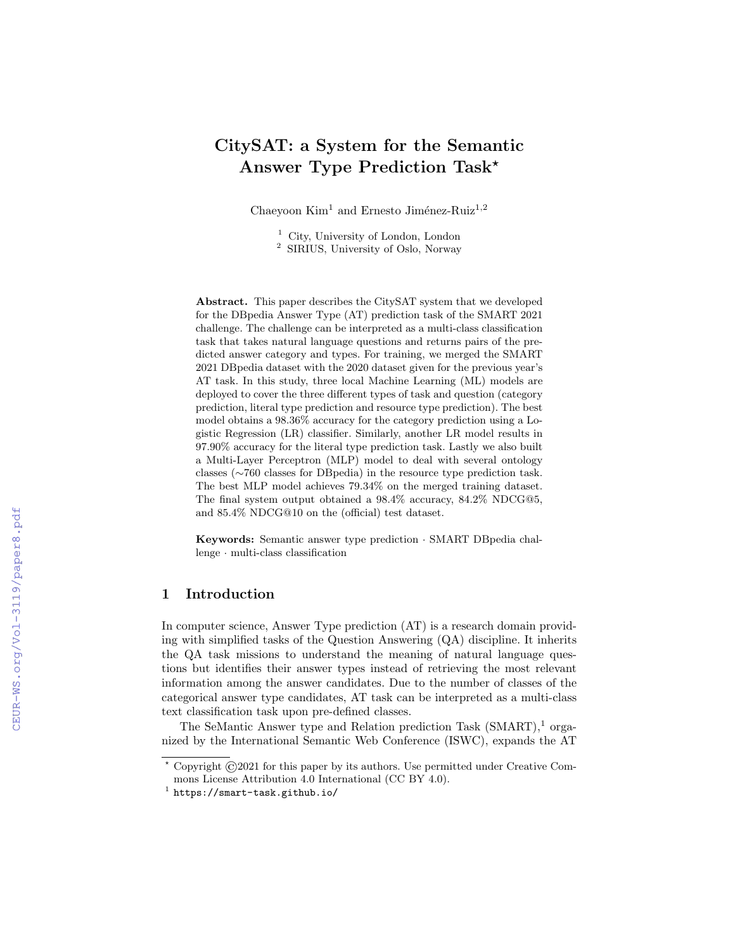# CitySAT: a System for the Semantic Answer Type Prediction Task<sup>\*</sup>

Chaeyoon  $Kim<sup>1</sup>$  and Ernesto Jiménez-Ruiz<sup>1,2</sup>

<sup>1</sup> City, University of London, London

<sup>2</sup> SIRIUS, University of Oslo, Norway

Abstract. This paper describes the CitySAT system that we developed for the DBpedia Answer Type (AT) prediction task of the SMART 2021 challenge. The challenge can be interpreted as a multi-class classification task that takes natural language questions and returns pairs of the predicted answer category and types. For training, we merged the SMART 2021 DBpedia dataset with the 2020 dataset given for the previous year's AT task. In this study, three local Machine Learning (ML) models are deployed to cover the three different types of task and question (category prediction, literal type prediction and resource type prediction). The best model obtains a 98.36% accuracy for the category prediction using a Logistic Regression (LR) classifier. Similarly, another LR model results in 97.90% accuracy for the literal type prediction task. Lastly we also built a Multi-Layer Perceptron (MLP) model to deal with several ontology classes (∼760 classes for DBpedia) in the resource type prediction task. The best MLP model achieves 79.34% on the merged training dataset. The final system output obtained a 98.4% accuracy, 84.2% NDCG@5, and 85.4% NDCG@10 on the (official) test dataset.

Keywords: Semantic answer type prediction · SMART DBpedia challenge · multi-class classification

## 1 Introduction

In computer science, Answer Type prediction (AT) is a research domain providing with simplified tasks of the Question Answering (QA) discipline. It inherits the QA task missions to understand the meaning of natural language questions but identifies their answer types instead of retrieving the most relevant information among the answer candidates. Due to the number of classes of the categorical answer type candidates, AT task can be interpreted as a multi-class text classification task upon pre-defined classes.

The SeMantic Answer type and Relation prediction Task  $(SMART),<sup>1</sup>$  organized by the International Semantic Web Conference (ISWC), expands the AT

<sup>⋆</sup> Copyright ©2021 for this paper by its authors. Use permitted under Creative Commons License Attribution 4.0 International (CC BY 4.0).

<sup>1</sup> https://smart-task.github.io/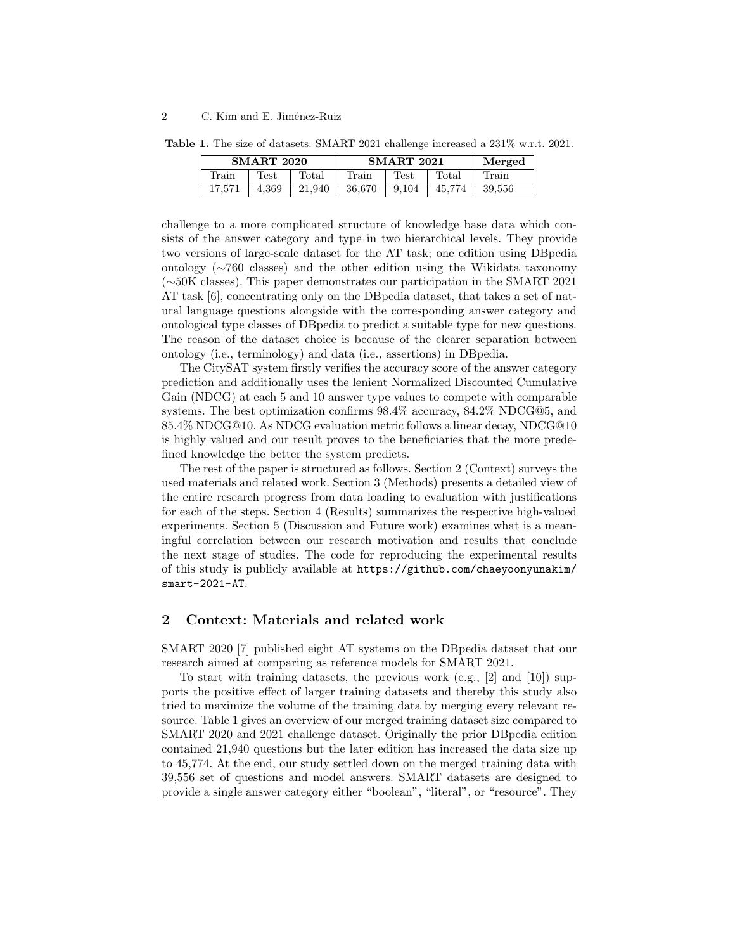| <b>SMART 2020</b> |       |        | <b>SMART 2021</b> | Merged |        |        |
|-------------------|-------|--------|-------------------|--------|--------|--------|
| Train             | Test  | Total  | Train             | Test   | Total  | Train  |
| 17,571            | 4,369 | 21.940 | 36.670            | 9,104  | 45,774 | 39,556 |

Table 1. The size of datasets: SMART 2021 challenge increased a 231% w.r.t. 2021.

challenge to a more complicated structure of knowledge base data which consists of the answer category and type in two hierarchical levels. They provide two versions of large-scale dataset for the AT task; one edition using DBpedia ontology (∼760 classes) and the other edition using the Wikidata taxonomy (∼50K classes). This paper demonstrates our participation in the SMART 2021 AT task [6], concentrating only on the DBpedia dataset, that takes a set of natural language questions alongside with the corresponding answer category and ontological type classes of DBpedia to predict a suitable type for new questions. The reason of the dataset choice is because of the clearer separation between ontology (i.e., terminology) and data (i.e., assertions) in DBpedia.

The CitySAT system firstly verifies the accuracy score of the answer category prediction and additionally uses the lenient Normalized Discounted Cumulative Gain (NDCG) at each 5 and 10 answer type values to compete with comparable systems. The best optimization confirms 98.4% accuracy, 84.2% NDCG@5, and 85.4% NDCG@10. As NDCG evaluation metric follows a linear decay, NDCG@10 is highly valued and our result proves to the beneficiaries that the more predefined knowledge the better the system predicts.

The rest of the paper is structured as follows. Section 2 (Context) surveys the used materials and related work. Section 3 (Methods) presents a detailed view of the entire research progress from data loading to evaluation with justifications for each of the steps. Section 4 (Results) summarizes the respective high-valued experiments. Section 5 (Discussion and Future work) examines what is a meaningful correlation between our research motivation and results that conclude the next stage of studies. The code for reproducing the experimental results of this study is publicly available at https://github.com/chaeyoonyunakim/ smart-2021-AT.

# 2 Context: Materials and related work

SMART 2020 [7] published eight AT systems on the DBpedia dataset that our research aimed at comparing as reference models for SMART 2021.

To start with training datasets, the previous work  $(e.g., [2]$  and  $[10]$ ) supports the positive effect of larger training datasets and thereby this study also tried to maximize the volume of the training data by merging every relevant resource. Table 1 gives an overview of our merged training dataset size compared to SMART 2020 and 2021 challenge dataset. Originally the prior DBpedia edition contained 21,940 questions but the later edition has increased the data size up to 45,774. At the end, our study settled down on the merged training data with 39,556 set of questions and model answers. SMART datasets are designed to provide a single answer category either "boolean", "literal", or "resource". They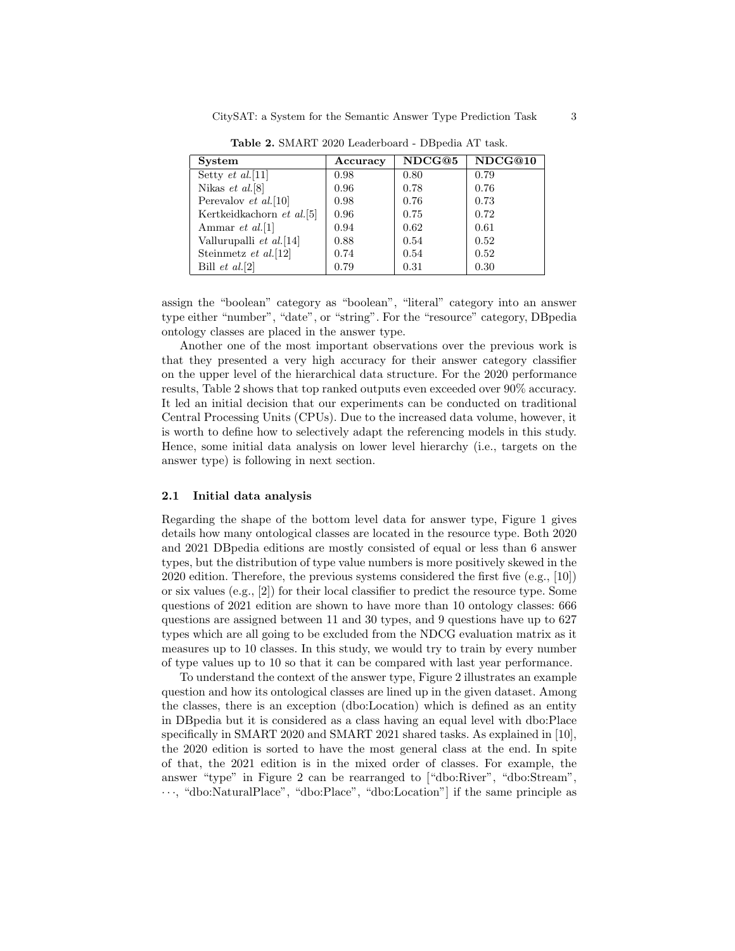| <b>System</b>             | Accuracy | NDCG@5 | NDCG@10 |
|---------------------------|----------|--------|---------|
| Setty $et \ al.[11]$      | 0.98     | 0.80   | 0.79    |
| Nikas <i>et al.</i> [8]   | 0.96     | 0.78   | 0.76    |
| Perevalov et al. [10]     | 0.98     | 0.76   | 0.73    |
| Kertkeidkachorn et al.[5] | 0.96     | 0.75   | 0.72    |
| Ammar <i>et al.</i> [1]   | 0.94     | 0.62   | 0.61    |
| Vallurupalli et al.[14]   | 0.88     | 0.54   | 0.52    |
| Steinmetz et al. [12]     | 0.74     | 0.54   | 0.52    |
| Bill $et al.[2]$          | 0.79     | 0.31   | 0.30    |

Table 2. SMART 2020 Leaderboard - DBpedia AT task.

assign the "boolean" category as "boolean", "literal" category into an answer type either "number", "date", or "string". For the "resource" category, DBpedia ontology classes are placed in the answer type.

Another one of the most important observations over the previous work is that they presented a very high accuracy for their answer category classifier on the upper level of the hierarchical data structure. For the 2020 performance results, Table 2 shows that top ranked outputs even exceeded over 90% accuracy. It led an initial decision that our experiments can be conducted on traditional Central Processing Units (CPUs). Due to the increased data volume, however, it is worth to define how to selectively adapt the referencing models in this study. Hence, some initial data analysis on lower level hierarchy (i.e., targets on the answer type) is following in next section.

### 2.1 Initial data analysis

Regarding the shape of the bottom level data for answer type, Figure 1 gives details how many ontological classes are located in the resource type. Both 2020 and 2021 DBpedia editions are mostly consisted of equal or less than 6 answer types, but the distribution of type value numbers is more positively skewed in the 2020 edition. Therefore, the previous systems considered the first five (e.g., [10]) or six values  $(e.g., [2])$  for their local classifier to predict the resource type. Some questions of 2021 edition are shown to have more than 10 ontology classes: 666 questions are assigned between 11 and 30 types, and 9 questions have up to 627 types which are all going to be excluded from the NDCG evaluation matrix as it measures up to 10 classes. In this study, we would try to train by every number of type values up to 10 so that it can be compared with last year performance.

To understand the context of the answer type, Figure 2 illustrates an example question and how its ontological classes are lined up in the given dataset. Among the classes, there is an exception (dbo:Location) which is defined as an entity in DBpedia but it is considered as a class having an equal level with dbo:Place specifically in SMART 2020 and SMART 2021 shared tasks. As explained in [10], the 2020 edition is sorted to have the most general class at the end. In spite of that, the 2021 edition is in the mixed order of classes. For example, the answer "type" in Figure 2 can be rearranged to ["dbo:River", "dbo:Stream", · · ·, "dbo:NaturalPlace", "dbo:Place", "dbo:Location"] if the same principle as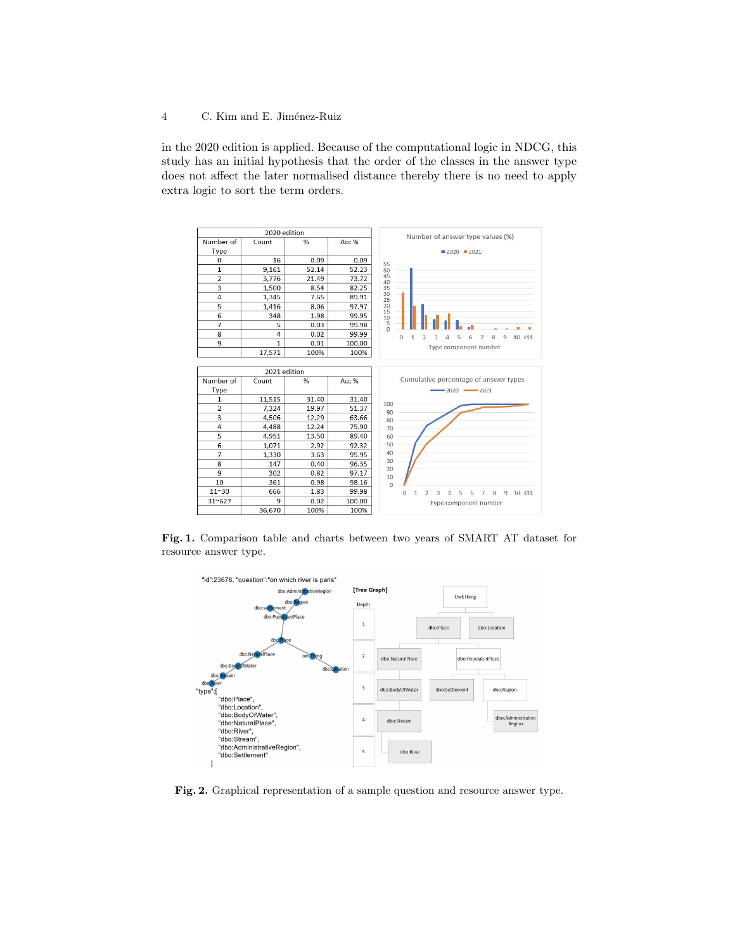in the 2020 edition is applied. Because of the computational logic in NDCG, this study has an initial hypothesis that the order of the classes in the answer type does not affect the later normalised distance thereby there is no need to apply extra logic to sort the term orders.



Fig. 1. Comparison table and charts between two years of SMART AT dataset for resource answer type.



Fig. 2. Graphical representation of a sample question and resource answer type.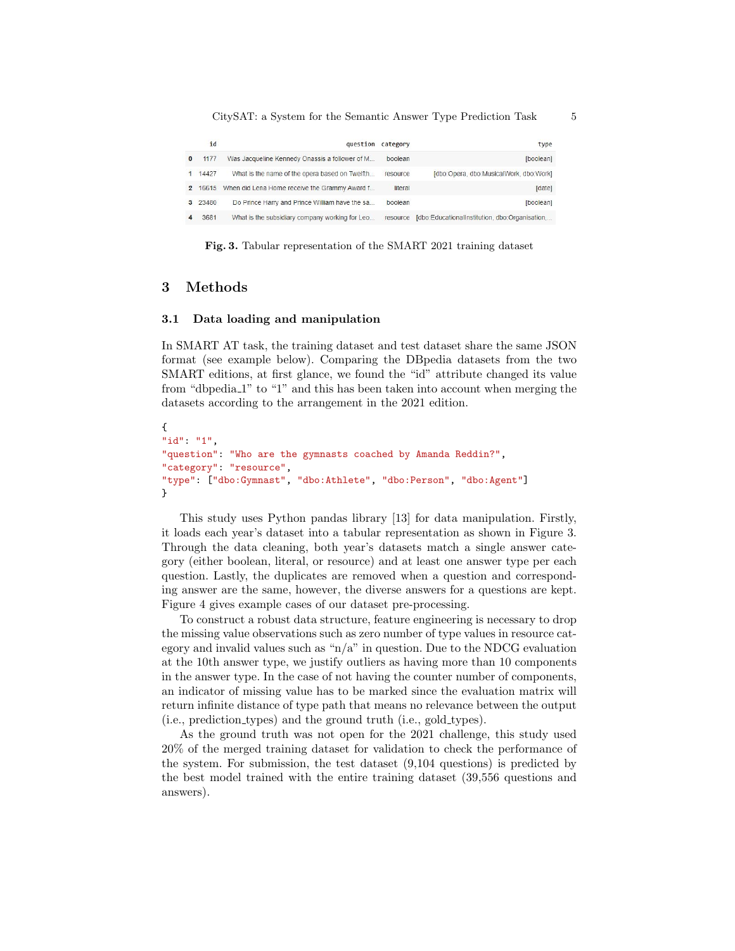| type                                          | question category |                                                        | id      |  |
|-----------------------------------------------|-------------------|--------------------------------------------------------|---------|--|
| [boolean]                                     | boolean           | Was Jacqueline Kennedy Onassis a follower of M         | 1177    |  |
| [dbo:Opera, dbo:MusicalWork, dbo:Work]        | resource          | What is the name of the opera based on Twelfth         | 14427   |  |
| [date]                                        | literal           | 2 16615 When did Lena Horne receive the Grammy Award f |         |  |
| [boolean]                                     | boolean           | Do Prince Harry and Prince William have the sa         | 3 23480 |  |
| [dbo:EducationalInstitution, dbo:Organisation | resource          | What is the subsidiary company working for Leo         | 3681    |  |

Fig. 3. Tabular representation of the SMART 2021 training dataset

# 3 Methods

#### 3.1 Data loading and manipulation

In SMART AT task, the training dataset and test dataset share the same JSON format (see example below). Comparing the DBpedia datasets from the two SMART editions, at first glance, we found the "id" attribute changed its value from "dbpedia 1" to "1" and this has been taken into account when merging the datasets according to the arrangement in the 2021 edition.

```
{
"id": "1",
"question": "Who are the gymnasts coached by Amanda Reddin?",
"category": "resource",
"type": ["dbo:Gymnast", "dbo:Athlete", "dbo:Person", "dbo:Agent"]
}
```
This study uses Python pandas library [13] for data manipulation. Firstly, it loads each year's dataset into a tabular representation as shown in Figure 3. Through the data cleaning, both year's datasets match a single answer category (either boolean, literal, or resource) and at least one answer type per each question. Lastly, the duplicates are removed when a question and corresponding answer are the same, however, the diverse answers for a questions are kept. Figure 4 gives example cases of our dataset pre-processing.

To construct a robust data structure, feature engineering is necessary to drop the missing value observations such as zero number of type values in resource category and invalid values such as " $n/a$ " in question. Due to the NDCG evaluation at the 10th answer type, we justify outliers as having more than 10 components in the answer type. In the case of not having the counter number of components, an indicator of missing value has to be marked since the evaluation matrix will return infinite distance of type path that means no relevance between the output (i.e., prediction types) and the ground truth (i.e., gold types).

As the ground truth was not open for the 2021 challenge, this study used 20% of the merged training dataset for validation to check the performance of the system. For submission, the test dataset (9,104 questions) is predicted by the best model trained with the entire training dataset (39,556 questions and answers).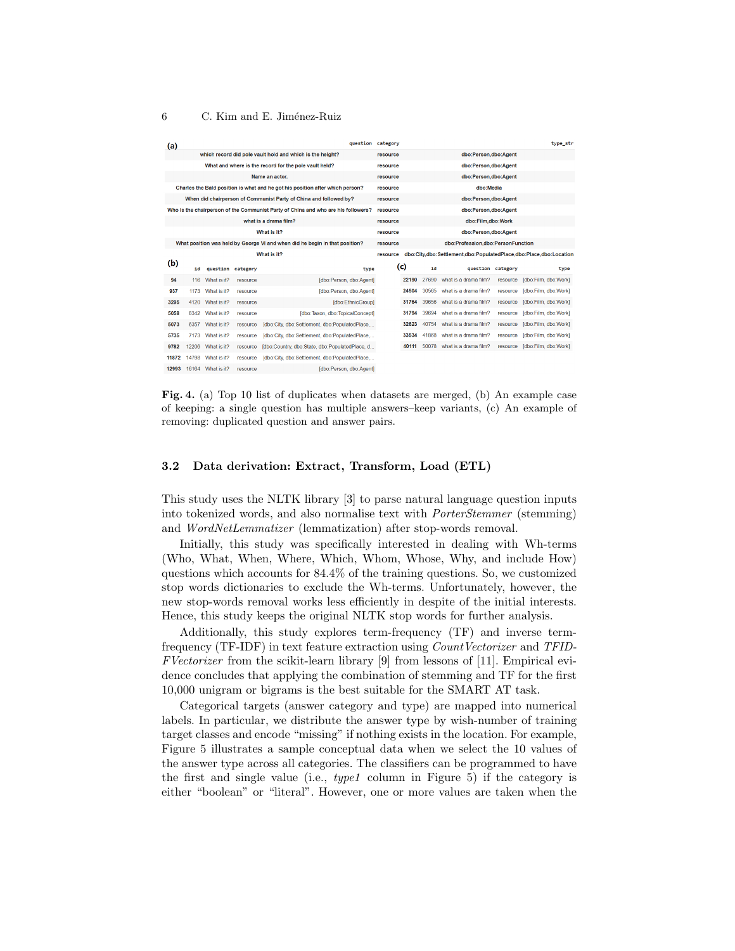| (a)         |                                                           |             |          | question                                                                          | category |                                                                   |                      |                                   |          | type_str             |
|-------------|-----------------------------------------------------------|-------------|----------|-----------------------------------------------------------------------------------|----------|-------------------------------------------------------------------|----------------------|-----------------------------------|----------|----------------------|
|             | which record did pole vault hold and which is the height? |             |          |                                                                                   | resource |                                                                   |                      | dbo:Person,dbo:Agent              |          |                      |
|             |                                                           |             |          | What and where is the record for the pole vault held?                             | resource |                                                                   |                      | dbo:Person.dbo:Agent              |          |                      |
|             |                                                           |             |          | Name an actor.                                                                    | resource |                                                                   |                      | dbo:Person,dbo:Agent              |          |                      |
|             |                                                           |             |          | Charles the Bald position is what and he got his position after which person?     | resource |                                                                   |                      | dbo:Media                         |          |                      |
|             |                                                           |             |          | When did chairperson of Communist Party of China and followed by?                 | resource |                                                                   |                      | dbo:Person.dbo:Agent              |          |                      |
|             |                                                           |             |          | Who is the chairperson of the Communist Party of China and who are his followers? | resource |                                                                   |                      | dbo:Person.dbo:Agent              |          |                      |
|             |                                                           |             |          | what is a drama film?                                                             | resource |                                                                   |                      | dbo:Film,dbo:Work                 |          |                      |
| What is it? |                                                           |             |          | resource                                                                          |          |                                                                   | dbo:Person,dbo:Agent |                                   |          |                      |
|             |                                                           |             |          | What position was held by George VI and when did he begin in that position?       | resource |                                                                   |                      | dbo:Profession,dbo:PersonFunction |          |                      |
| What is it? |                                                           |             | resource |                                                                                   |          | dbo:City,dbo:Settlement,dbo:PopulatedPlace,dbo:Place,dbo:Location |                      |                                   |          |                      |
|             |                                                           |             |          |                                                                                   |          |                                                                   |                      |                                   |          |                      |
| (b)         | id                                                        | question    | category | type                                                                              |          | (c)                                                               | id                   | question category                 |          | type                 |
| 94          | 116                                                       | What is it? | resource | Idbo:Person, dbo:AgentI                                                           |          | 22190                                                             | 27690                | what is a drama film?             | resource | [dbo:Film, dbo:Work] |
| 937         | 1173                                                      | What is it? | resource | [dbo:Person, dbo:Agent]                                                           |          | 24504                                                             | 30565                | what is a drama film?             | resource | [dbo:Film, dbo:Work] |
| 3295        | 4120                                                      | What is it? | resource | [dbo:EthnicGroup]                                                                 |          | 31764                                                             | 39656                | what is a drama film?             | resource | [dbo:Film, dbo:Work] |
| 5058        | 6342                                                      | What is it? | resource | [dbo:Taxon, dbo:TopicalConcept]                                                   |          | 31794                                                             | 39694                | what is a drama film?             | resource | [dbo:Film, dbo:Work] |
| 5073        | 6357                                                      | What is it? | resource | [dbo:City, dbo:Settlement, dbo:PopulatedPlace                                     |          | 32623                                                             | 40754                | what is a drama film?             | resource | [dbo:Film, dbo:Work] |
| 5735        | 7173                                                      | What is it? | resource | Idbo:City, dbo:Settlement, dbo:PopulatedPlace                                     |          | 33534                                                             | 41868                | what is a drama film?             | resource | [dbo:Film, dbo:Work] |
| 9782        | 12206                                                     | What is it? | resource | [dbo:Country, dbo:State, dbo:PopulatedPlace, d                                    |          | 40111                                                             | 50078                | what is a drama film?             | resource | [dbo:Film, dbo:Work] |
| 11872       | 14798                                                     | What is it? | resource | [dbo:City, dbo:Settlement, dbo:PopulatedPlace,                                    |          |                                                                   |                      |                                   |          |                      |

Fig. 4. (a) Top 10 list of duplicates when datasets are merged, (b) An example case of keeping: a single question has multiple answers–keep variants, (c) An example of removing: duplicated question and answer pairs.

## 3.2 Data derivation: Extract, Transform, Load (ETL)

This study uses the NLTK library [3] to parse natural language question inputs into tokenized words, and also normalise text with PorterStemmer (stemming) and WordNetLemmatizer (lemmatization) after stop-words removal.

Initially, this study was specifically interested in dealing with Wh-terms (Who, What, When, Where, Which, Whom, Whose, Why, and include How) questions which accounts for 84.4% of the training questions. So, we customized stop words dictionaries to exclude the Wh-terms. Unfortunately, however, the new stop-words removal works less efficiently in despite of the initial interests. Hence, this study keeps the original NLTK stop words for further analysis.

Additionally, this study explores term-frequency (TF) and inverse termfrequency (TF-IDF) in text feature extraction using CountVectorizer and TFID-FVectorizer from the scikit-learn library [9] from lessons of [11]. Empirical evidence concludes that applying the combination of stemming and TF for the first 10,000 unigram or bigrams is the best suitable for the SMART AT task.

Categorical targets (answer category and type) are mapped into numerical labels. In particular, we distribute the answer type by wish-number of training target classes and encode "missing" if nothing exists in the location. For example, Figure 5 illustrates a sample conceptual data when we select the 10 values of the answer type across all categories. The classifiers can be programmed to have the first and single value (i.e.,  $type1$  column in Figure 5) if the category is either "boolean" or "literal". However, one or more values are taken when the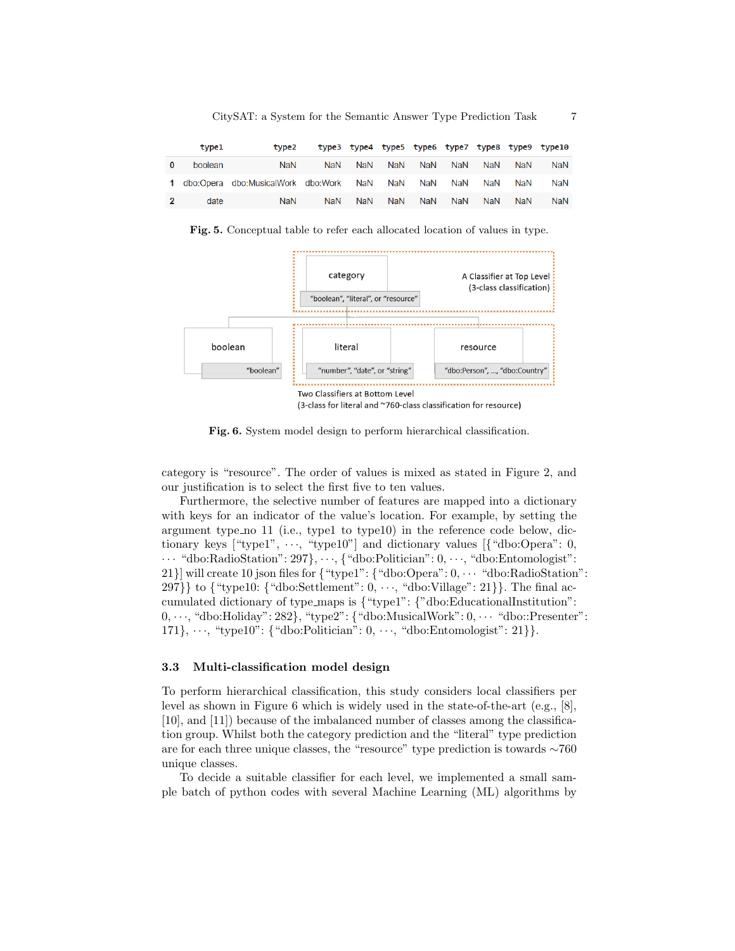CitySAT: a System for the Semantic Answer Type Prediction Task 7

|              | type1   | type <sub>2</sub>                    |            |     |     |            |            |            |            | type3 type4 type5 type6 type7 type8 type9 type10 |
|--------------|---------|--------------------------------------|------------|-----|-----|------------|------------|------------|------------|--------------------------------------------------|
| $\bf{0}$     | boolean | NaN                                  | <b>NaN</b> | NaN | NaN | <b>NaN</b> | NaN        | <b>NaN</b> | <b>NaN</b> | <b>NaN</b>                                       |
|              |         | 1 dbo:Opera dbo:MusicalWork dbo:Work |            | NaN | NaN | NaN        | NaN        | NaN        | NaN        | <b>NaN</b>                                       |
| $\mathbf{z}$ | date    | <b>NaN</b>                           | <b>NaN</b> | NaN | NaN | <b>NaN</b> | <b>NaN</b> | <b>NaN</b> | <b>NaN</b> | <b>NaN</b>                                       |

Fig. 5. Conceptual table to refer each allocated location of values in type.



Fig. 6. System model design to perform hierarchical classification.

category is "resource". The order of values is mixed as stated in Figure 2, and our justification is to select the first five to ten values.

Furthermore, the selective number of features are mapped into a dictionary with keys for an indicator of the value's location. For example, by setting the argument type no 11 (i.e., type1 to type10) in the reference code below, dictionary keys ["type1",  $\cdots$ , "type10"] and dictionary values [{"dbo:Opera": 0,  $\cdots$  "dbo:RadioStation": 297},  $\cdots$ , {"dbo:Politician":  $0, \cdots$ , "dbo:Entomologist": 21}] will create 10 json files for  $\{\text{``type1''}: \{\text{``dbo:Opena''}: 0, \cdots \text{``dbc:RadioStation''}: \}$ 297}} to  ${\text{``type10:}}$   ${\text{``dbo:Settlement'': 0, ..., "dbo:Village": 21}}$ . The final accumulated dictionary of type\_maps is  $\{$  "type1":  $\{$  "dbo:EducationalInstitution":  $0, \dots$ , "dbo:Holiday": 282}, "type2": { "dbo:MusicalWork":  $0, \dots$  "dbo::Presenter": 171},  $\cdots$ , "type10": {"dbo:Politician":  $0, \cdots$ , "dbo:Entomologist": 21}}.

## 3.3 Multi-classification model design

To perform hierarchical classification, this study considers local classifiers per level as shown in Figure 6 which is widely used in the state-of-the-art (e.g., [8], [10], and [11]) because of the imbalanced number of classes among the classification group. Whilst both the category prediction and the "literal" type prediction are for each three unique classes, the "resource" type prediction is towards ∼760 unique classes.

To decide a suitable classifier for each level, we implemented a small sample batch of python codes with several Machine Learning (ML) algorithms by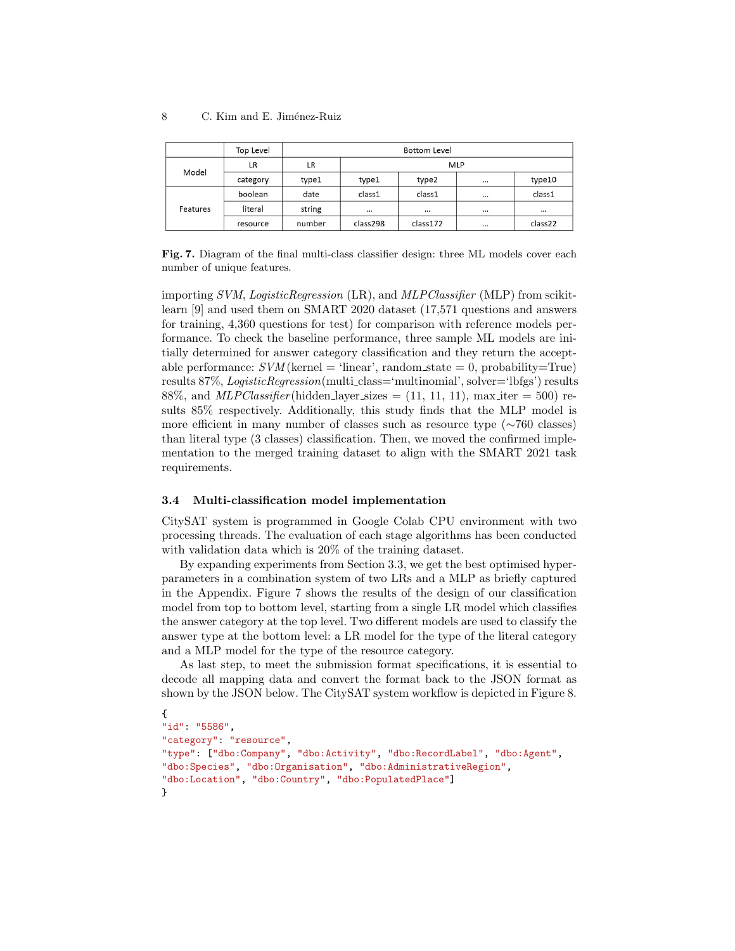|          | Top Level | <b>Bottom Level</b> |            |          |                       |         |  |
|----------|-----------|---------------------|------------|----------|-----------------------|---------|--|
| Model    | LR        | LR                  | <b>MLP</b> |          |                       |         |  |
|          | category  | type1               | type1      | type2    | $\cdots$              | type10  |  |
| Features | boolean   | date                | class1     | class1   | $\dddot{\phantom{0}}$ | class1  |  |
|          | literal   | string              | $\cdots$   | $\cdots$ | $\cdots$              |         |  |
|          | resource  | number              | class298   | class172 | $\cdots$              | class22 |  |

Fig. 7. Diagram of the final multi-class classifier design: three ML models cover each number of unique features.

importing SVM, LogisticRegression (LR), and MLPClassifier (MLP) from scikitlearn [9] and used them on SMART 2020 dataset (17,571 questions and answers for training, 4,360 questions for test) for comparison with reference models performance. To check the baseline performance, three sample ML models are initially determined for answer category classification and they return the acceptable performance:  $SVM$  (kernel = 'linear', random state = 0, probability=True) results 87%, LogisticRegression(multi class='multinomial', solver='lbfgs') results 88%, and *MLPClassifier* (hidden layer sizes  $= (11, 11, 11)$ , max iter  $= 500$ ) results 85% respectively. Additionally, this study finds that the MLP model is more efficient in many number of classes such as resource type (∼760 classes) than literal type (3 classes) classification. Then, we moved the confirmed implementation to the merged training dataset to align with the SMART 2021 task requirements.

## 3.4 Multi-classification model implementation

CitySAT system is programmed in Google Colab CPU environment with two processing threads. The evaluation of each stage algorithms has been conducted with validation data which is 20% of the training dataset.

By expanding experiments from Section 3.3, we get the best optimised hyperparameters in a combination system of two LRs and a MLP as briefly captured in the Appendix. Figure 7 shows the results of the design of our classification model from top to bottom level, starting from a single LR model which classifies the answer category at the top level. Two different models are used to classify the answer type at the bottom level: a LR model for the type of the literal category and a MLP model for the type of the resource category.

As last step, to meet the submission format specifications, it is essential to decode all mapping data and convert the format back to the JSON format as shown by the JSON below. The CitySAT system workflow is depicted in Figure 8.

```
{
"id": "5586",
"category": "resource",
"type": ["dbo:Company", "dbo:Activity", "dbo:RecordLabel", "dbo:Agent",
"dbo:Species", "dbo:Organisation", "dbo:AdministrativeRegion",
"dbo:Location", "dbo:Country", "dbo:PopulatedPlace"]
}
```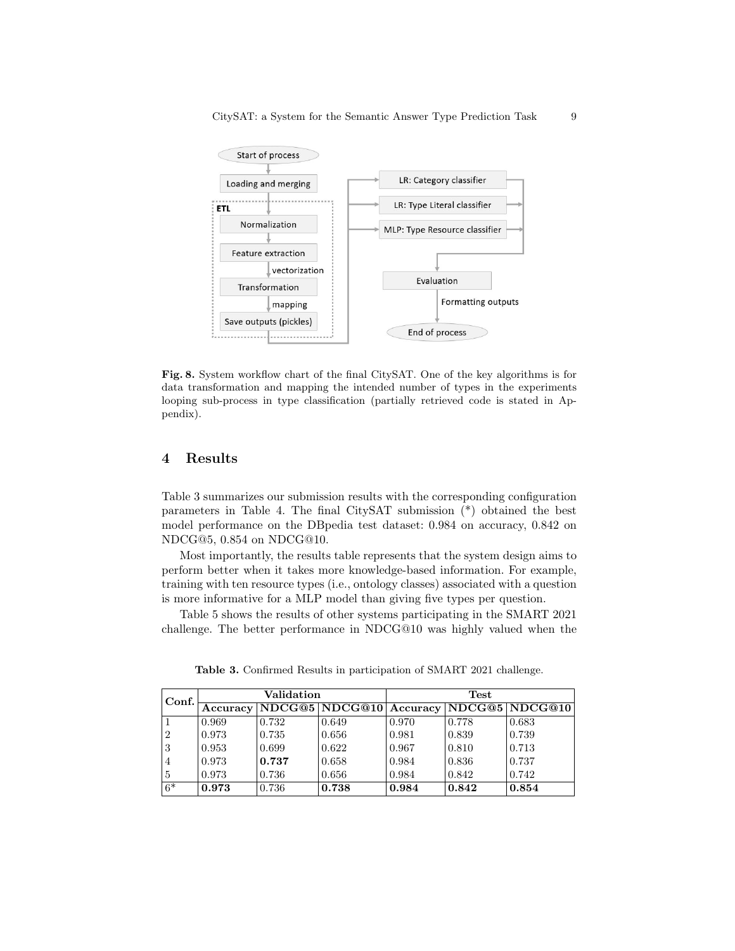

Fig. 8. System workflow chart of the final CitySAT. One of the key algorithms is for data transformation and mapping the intended number of types in the experiments looping sub-process in type classification (partially retrieved code is stated in Appendix).

# 4 Results

Table 3 summarizes our submission results with the corresponding configuration parameters in Table 4. The final CitySAT submission (\*) obtained the best model performance on the DBpedia test dataset: 0.984 on accuracy, 0.842 on NDCG@5, 0.854 on NDCG@10.

Most importantly, the results table represents that the system design aims to perform better when it takes more knowledge-based information. For example, training with ten resource types (i.e., ontology classes) associated with a question is more informative for a MLP model than giving five types per question.

Table 5 shows the results of other systems participating in the SMART 2021 challenge. The better performance in NDCG@10 was highly valued when the

| Conf.          | Validation |       |       | Test  |       |                                        |  |
|----------------|------------|-------|-------|-------|-------|----------------------------------------|--|
|                | Accuracy   |       |       |       |       | NDCG@5 NDCG@10 Accuracy NDCG@5 NDCG@10 |  |
|                | 0.969      | 0.732 | 0.649 | 0.970 | 0.778 | 0.683                                  |  |
| $\overline{2}$ | 0.973      | 0.735 | 0.656 | 0.981 | 0.839 | 0.739                                  |  |
| 3              | 0.953      | 0.699 | 0.622 | 0.967 | 0.810 | 0.713                                  |  |
| 4              | 0.973      | 0.737 | 0.658 | 0.984 | 0.836 | 0.737                                  |  |
| 5              | 0.973      | 0.736 | 0.656 | 0.984 | 0.842 | 0.742                                  |  |
| $6*$           | 0.973      | 0.736 | 0.738 | 0.984 | 0.842 | 0.854                                  |  |

Table 3. Confirmed Results in participation of SMART 2021 challenge.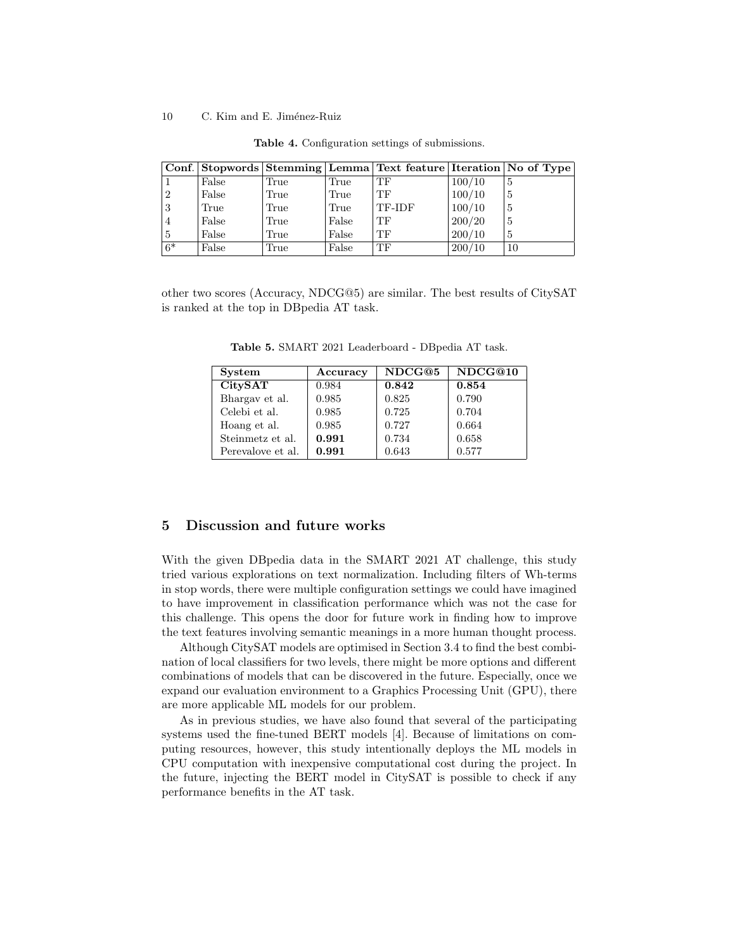|                |       |      |       | Conf. Stopwords Stemming Lemma Text feature Iteration No of Type |        |    |
|----------------|-------|------|-------|------------------------------------------------------------------|--------|----|
|                | False | True | True  | TF                                                               | 100/10 | 5  |
| $\overline{2}$ | False | True | True  | TF                                                               | 100/10 | 5  |
| 3              | True  | True | True  | TF-IDF                                                           | 100/10 | 5  |
| 4              | False | True | False | TF                                                               | 200/20 | 5  |
| 5              | False | True | False | ТF                                                               | 200/10 | 5  |
| $6*$           | False | True | False | ТF                                                               | 200/10 | 10 |

Table 4. Configuration settings of submissions.

other two scores (Accuracy, NDCG@5) are similar. The best results of CitySAT is ranked at the top in DBpedia AT task.

| <b>System</b>     | Accuracy | NDCG@5 | NDCG@10 |
|-------------------|----------|--------|---------|
| <b>CitySAT</b>    | 0.984    | 0.842  | 0.854   |
| Bhargay et al.    | 0.985    | 0.825  | 0.790   |
| Celebi et al.     | 0.985    | 0.725  | 0.704   |
| Hoang et al.      | 0.985    | 0.727  | 0.664   |
| Steinmetz et al.  | 0.991    | 0.734  | 0.658   |
| Perevalove et al. | 0.991    | 0.643  | 0.577   |

Table 5. SMART 2021 Leaderboard - DBpedia AT task.

# 5 Discussion and future works

With the given DBpedia data in the SMART 2021 AT challenge, this study tried various explorations on text normalization. Including filters of Wh-terms in stop words, there were multiple configuration settings we could have imagined to have improvement in classification performance which was not the case for this challenge. This opens the door for future work in finding how to improve the text features involving semantic meanings in a more human thought process.

Although CitySAT models are optimised in Section 3.4 to find the best combination of local classifiers for two levels, there might be more options and different combinations of models that can be discovered in the future. Especially, once we expand our evaluation environment to a Graphics Processing Unit (GPU), there are more applicable ML models for our problem.

As in previous studies, we have also found that several of the participating systems used the fine-tuned BERT models [4]. Because of limitations on computing resources, however, this study intentionally deploys the ML models in CPU computation with inexpensive computational cost during the project. In the future, injecting the BERT model in CitySAT is possible to check if any performance benefits in the AT task.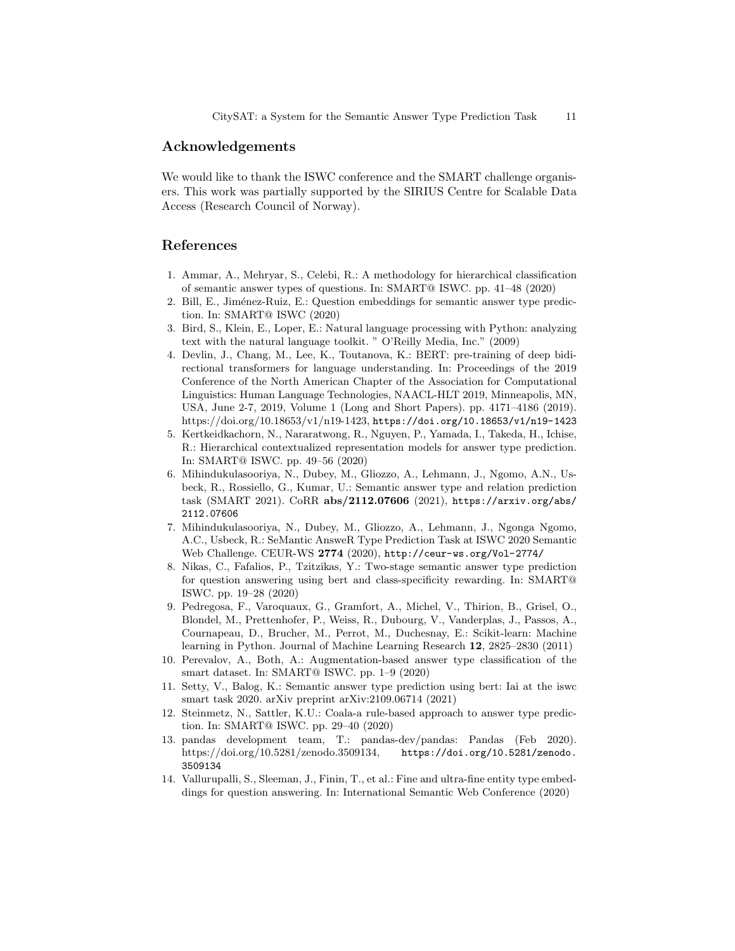## Acknowledgements

We would like to thank the ISWC conference and the SMART challenge organisers. This work was partially supported by the SIRIUS Centre for Scalable Data Access (Research Council of Norway).

# References

- 1. Ammar, A., Mehryar, S., Celebi, R.: A methodology for hierarchical classification of semantic answer types of questions. In: SMART@ ISWC. pp. 41–48 (2020)
- 2. Bill, E., Jiménez-Ruiz, E.: Question embeddings for semantic answer type prediction. In: SMART@ ISWC (2020)
- 3. Bird, S., Klein, E., Loper, E.: Natural language processing with Python: analyzing text with the natural language toolkit. " O'Reilly Media, Inc." (2009)
- 4. Devlin, J., Chang, M., Lee, K., Toutanova, K.: BERT: pre-training of deep bidirectional transformers for language understanding. In: Proceedings of the 2019 Conference of the North American Chapter of the Association for Computational Linguistics: Human Language Technologies, NAACL-HLT 2019, Minneapolis, MN, USA, June 2-7, 2019, Volume 1 (Long and Short Papers). pp. 4171–4186 (2019). https://doi.org/10.18653/v1/n19-1423, https://doi.org/10.18653/v1/n19-1423
- 5. Kertkeidkachorn, N., Nararatwong, R., Nguyen, P., Yamada, I., Takeda, H., Ichise, R.: Hierarchical contextualized representation models for answer type prediction. In: SMART@ ISWC. pp. 49–56 (2020)
- 6. Mihindukulasooriya, N., Dubey, M., Gliozzo, A., Lehmann, J., Ngomo, A.N., Usbeck, R., Rossiello, G., Kumar, U.: Semantic answer type and relation prediction task (SMART 2021). CoRR abs/2112.07606 (2021), https://arxiv.org/abs/ 2112.07606
- 7. Mihindukulasooriya, N., Dubey, M., Gliozzo, A., Lehmann, J., Ngonga Ngomo, A.C., Usbeck, R.: SeMantic AnsweR Type Prediction Task at ISWC 2020 Semantic Web Challenge. CEUR-WS 2774 (2020), http://ceur-ws.org/Vol-2774/
- 8. Nikas, C., Fafalios, P., Tzitzikas, Y.: Two-stage semantic answer type prediction for question answering using bert and class-specificity rewarding. In: SMART@ ISWC. pp. 19–28 (2020)
- 9. Pedregosa, F., Varoquaux, G., Gramfort, A., Michel, V., Thirion, B., Grisel, O., Blondel, M., Prettenhofer, P., Weiss, R., Dubourg, V., Vanderplas, J., Passos, A., Cournapeau, D., Brucher, M., Perrot, M., Duchesnay, E.: Scikit-learn: Machine learning in Python. Journal of Machine Learning Research 12, 2825–2830 (2011)
- 10. Perevalov, A., Both, A.: Augmentation-based answer type classification of the smart dataset. In: SMART@ ISWC. pp. 1–9 (2020)
- 11. Setty, V., Balog, K.: Semantic answer type prediction using bert: Iai at the iswc smart task 2020. arXiv preprint arXiv:2109.06714 (2021)
- 12. Steinmetz, N., Sattler, K.U.: Coala-a rule-based approach to answer type prediction. In: SMART@ ISWC. pp. 29–40 (2020)
- 13. pandas development team, T.: pandas-dev/pandas: Pandas (Feb 2020). https://doi.org/10.5281/zenodo.3509134, https://doi.org/10.5281/zenodo. 3509134
- 14. Vallurupalli, S., Sleeman, J., Finin, T., et al.: Fine and ultra-fine entity type embeddings for question answering. In: International Semantic Web Conference (2020)